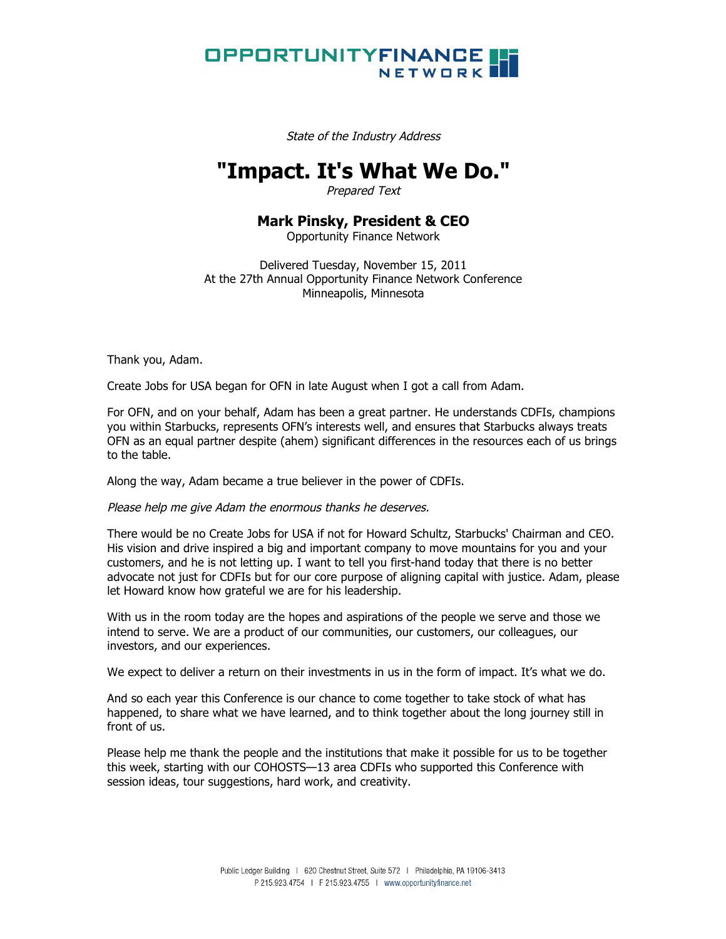

State of the Industry Address

## **"Impact. It's What We Do."**

Prepared Text

## **Mark Pinsky, President & CEO**

Opportunity Finance Network

Delivered Tuesday, November 15, 2011 At the 27th Annual Opportunity Finance Network Conference Minneapolis, Minnesota

Thank you, Adam.

Create Jobs for USA began for OFN in late August when I got a call from Adam.

For OFN, and on your behalf, Adam has been a great partner. He understands CDFIs, champions you within Starbucks, represents OFN's interests well, and ensures that Starbucks always treats OFN as an equal partner despite (ahem) significant differences in the resources each of us brings to the table.

Along the way, Adam became a true believer in the power of CDFIs.

Please help me give Adam the enormous thanks he deserves.

There would be no Create Jobs for USA if not for Howard Schultz, Starbucks' Chairman and CEO. His vision and drive inspired a big and important company to move mountains for you and your customers, and he is not letting up. I want to tell you first-hand today that there is no better advocate not just for CDFIs but for our core purpose of aligning capital with justice. Adam, please let Howard know how grateful we are for his leadership.

With us in the room today are the hopes and aspirations of the people we serve and those we intend to serve. We are a product of our communities, our customers, our colleagues, our investors, and our experiences.

We expect to deliver a return on their investments in us in the form of impact. It's what we do.

And so each year this Conference is our chance to come together to take stock of what has happened, to share what we have learned, and to think together about the long journey still in front of us.

Please help me thank the people and the institutions that make it possible for us to be together this week, starting with our COHOSTS—13 area CDFIs who supported this Conference with session ideas, tour suggestions, hard work, and creativity.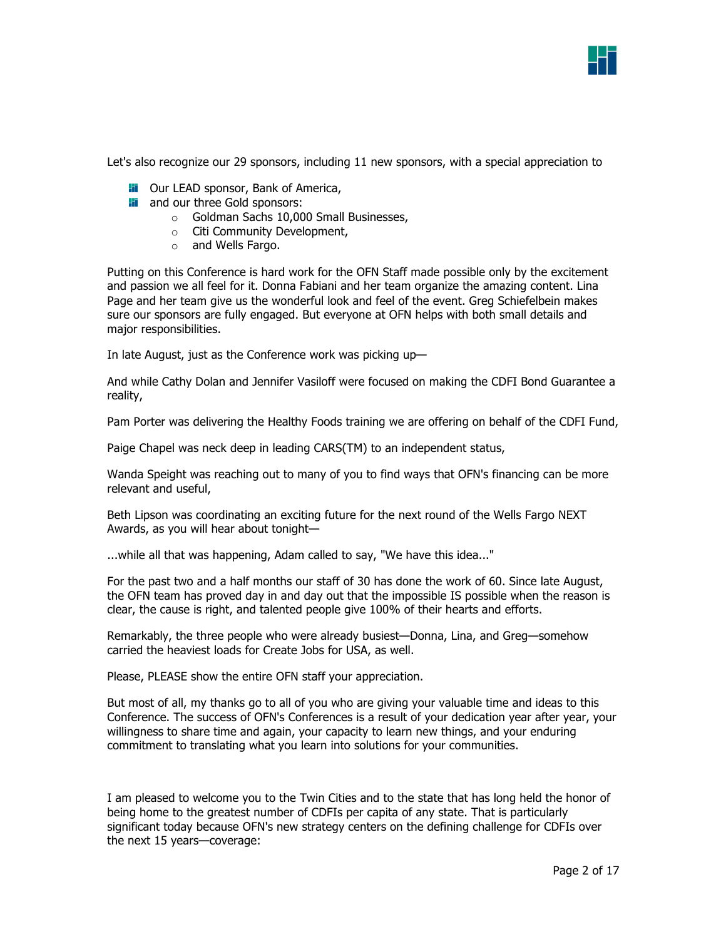

Let's also recognize our 29 sponsors, including 11 new sponsors, with a special appreciation to

- **Fi** Our LEAD sponsor, Bank of America,
- **Hi** and our three Gold sponsors:
	- o Goldman Sachs 10,000 Small Businesses,
	- o Citi Community Development,
	- o and Wells Fargo.

Putting on this Conference is hard work for the OFN Staff made possible only by the excitement and passion we all feel for it. Donna Fabiani and her team organize the amazing content. Lina Page and her team give us the wonderful look and feel of the event. Greg Schiefelbein makes sure our sponsors are fully engaged. But everyone at OFN helps with both small details and major responsibilities.

In late August, just as the Conference work was picking up—

And while Cathy Dolan and Jennifer Vasiloff were focused on making the CDFI Bond Guarantee a reality,

Pam Porter was delivering the Healthy Foods training we are offering on behalf of the CDFI Fund,

Paige Chapel was neck deep in leading CARS(TM) to an independent status,

Wanda Speight was reaching out to many of you to find ways that OFN's financing can be more relevant and useful,

Beth Lipson was coordinating an exciting future for the next round of the Wells Fargo NEXT Awards, as you will hear about tonight—

...while all that was happening, Adam called to say, "We have this idea..."

For the past two and a half months our staff of 30 has done the work of 60. Since late August, the OFN team has proved day in and day out that the impossible IS possible when the reason is clear, the cause is right, and talented people give 100% of their hearts and efforts.

Remarkably, the three people who were already busiest—Donna, Lina, and Greg—somehow carried the heaviest loads for Create Jobs for USA, as well.

Please, PLEASE show the entire OFN staff your appreciation.

But most of all, my thanks go to all of you who are giving your valuable time and ideas to this Conference. The success of OFN's Conferences is a result of your dedication year after year, your willingness to share time and again, your capacity to learn new things, and your enduring commitment to translating what you learn into solutions for your communities.

I am pleased to welcome you to the Twin Cities and to the state that has long held the honor of being home to the greatest number of CDFIs per capita of any state. That is particularly significant today because OFN's new strategy centers on the defining challenge for CDFIs over the next 15 years—coverage: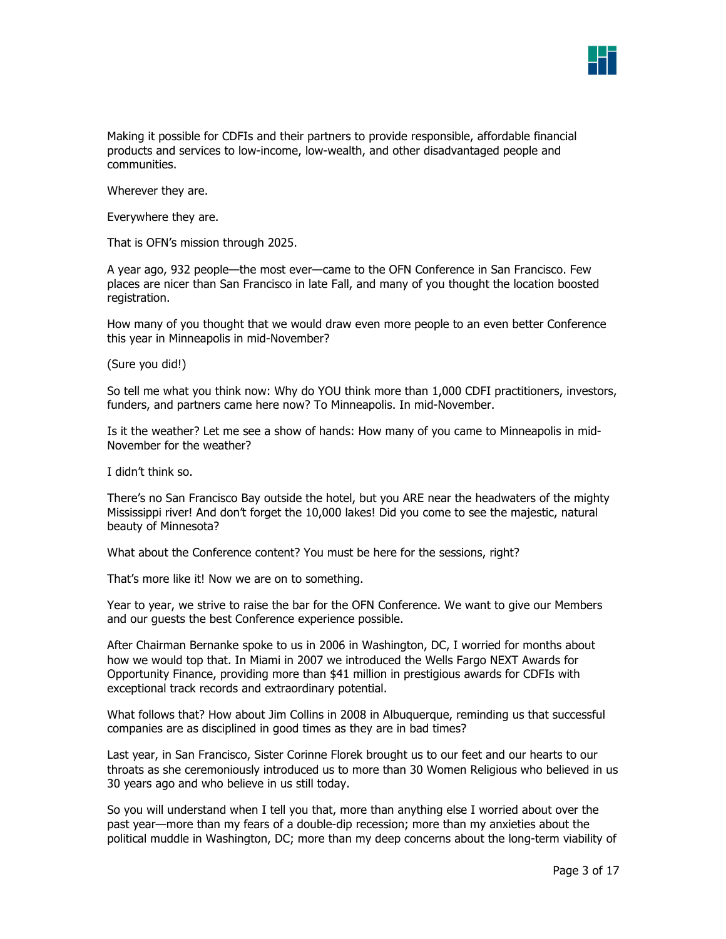

Making it possible for CDFIs and their partners to provide responsible, affordable financial products and services to low-income, low-wealth, and other disadvantaged people and communities.

Wherever they are.

Everywhere they are.

That is OFN's mission through 2025.

A year ago, 932 people—the most ever—came to the OFN Conference in San Francisco. Few places are nicer than San Francisco in late Fall, and many of you thought the location boosted registration.

How many of you thought that we would draw even more people to an even better Conference this year in Minneapolis in mid-November?

(Sure you did!)

So tell me what you think now: Why do YOU think more than 1,000 CDFI practitioners, investors, funders, and partners came here now? To Minneapolis. In mid-November.

Is it the weather? Let me see a show of hands: How many of you came to Minneapolis in mid-November for the weather?

I didn't think so.

There's no San Francisco Bay outside the hotel, but you ARE near the headwaters of the mighty Mississippi river! And don't forget the 10,000 lakes! Did you come to see the majestic, natural beauty of Minnesota?

What about the Conference content? You must be here for the sessions, right?

That's more like it! Now we are on to something.

Year to year, we strive to raise the bar for the OFN Conference. We want to give our Members and our guests the best Conference experience possible.

After Chairman Bernanke spoke to us in 2006 in Washington, DC, I worried for months about how we would top that. In Miami in 2007 we introduced the Wells Fargo NEXT Awards for Opportunity Finance, providing more than \$41 million in prestigious awards for CDFIs with exceptional track records and extraordinary potential.

What follows that? How about Jim Collins in 2008 in Albuquerque, reminding us that successful companies are as disciplined in good times as they are in bad times?

Last year, in San Francisco, Sister Corinne Florek brought us to our feet and our hearts to our throats as she ceremoniously introduced us to more than 30 Women Religious who believed in us 30 years ago and who believe in us still today.

So you will understand when I tell you that, more than anything else I worried about over the past year—more than my fears of a double-dip recession; more than my anxieties about the political muddle in Washington, DC; more than my deep concerns about the long-term viability of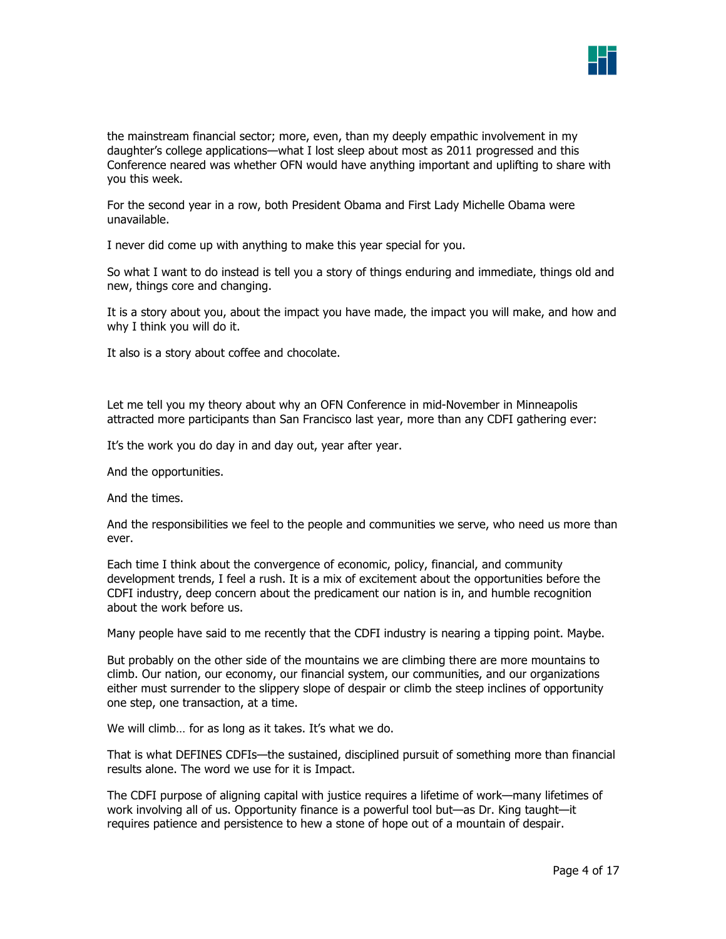

the mainstream financial sector; more, even, than my deeply empathic involvement in my daughter's college applications—what I lost sleep about most as 2011 progressed and this Conference neared was whether OFN would have anything important and uplifting to share with you this week.

For the second year in a row, both President Obama and First Lady Michelle Obama were unavailable.

I never did come up with anything to make this year special for you.

So what I want to do instead is tell you a story of things enduring and immediate, things old and new, things core and changing.

It is a story about you, about the impact you have made, the impact you will make, and how and why I think you will do it.

It also is a story about coffee and chocolate.

Let me tell you my theory about why an OFN Conference in mid-November in Minneapolis attracted more participants than San Francisco last year, more than any CDFI gathering ever:

It's the work you do day in and day out, year after year.

And the opportunities.

And the times.

And the responsibilities we feel to the people and communities we serve, who need us more than ever.

Each time I think about the convergence of economic, policy, financial, and community development trends, I feel a rush. It is a mix of excitement about the opportunities before the CDFI industry, deep concern about the predicament our nation is in, and humble recognition about the work before us.

Many people have said to me recently that the CDFI industry is nearing a tipping point. Maybe.

But probably on the other side of the mountains we are climbing there are more mountains to climb. Our nation, our economy, our financial system, our communities, and our organizations either must surrender to the slippery slope of despair or climb the steep inclines of opportunity one step, one transaction, at a time.

We will climb... for as long as it takes. It's what we do.

That is what DEFINES CDFIs—the sustained, disciplined pursuit of something more than financial results alone. The word we use for it is Impact.

The CDFI purpose of aligning capital with justice requires a lifetime of work—many lifetimes of work involving all of us. Opportunity finance is a powerful tool but—as Dr. King taught—it requires patience and persistence to hew a stone of hope out of a mountain of despair.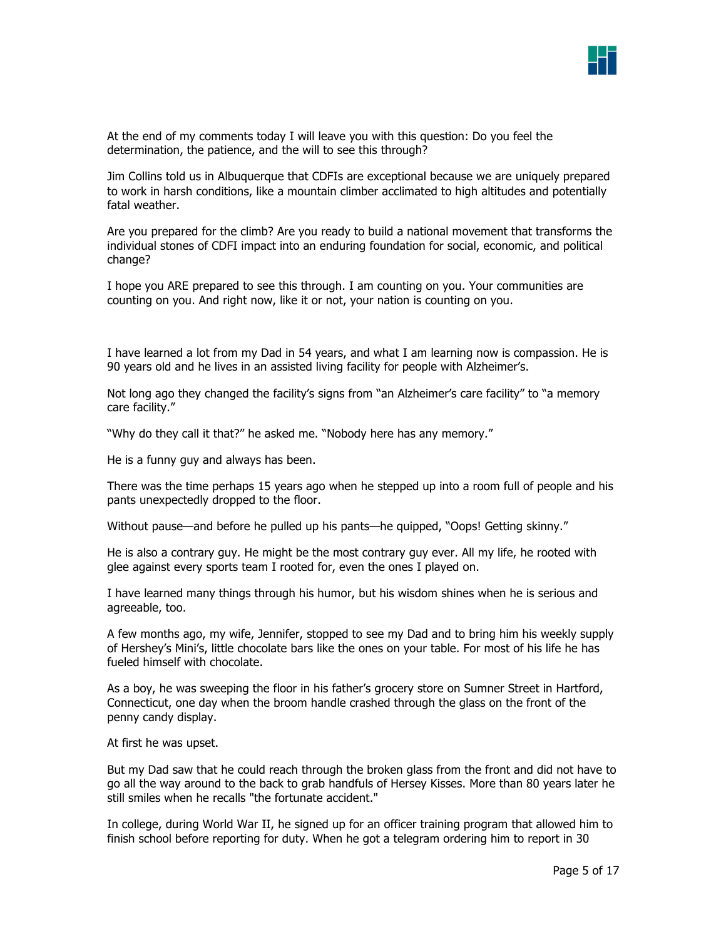

At the end of my comments today I will leave you with this question: Do you feel the determination, the patience, and the will to see this through?

Jim Collins told us in Albuquerque that CDFIs are exceptional because we are uniquely prepared to work in harsh conditions, like a mountain climber acclimated to high altitudes and potentially fatal weather.

Are you prepared for the climb? Are you ready to build a national movement that transforms the individual stones of CDFI impact into an enduring foundation for social, economic, and political change?

I hope you ARE prepared to see this through. I am counting on you. Your communities are counting on you. And right now, like it or not, your nation is counting on you.

I have learned a lot from my Dad in 54 years, and what I am learning now is compassion. He is 90 years old and he lives in an assisted living facility for people with Alzheimer's.

Not long ago they changed the facility's signs from "an Alzheimer's care facility" to "a memory care facility."

"Why do they call it that?" he asked me. "Nobody here has any memory."

He is a funny guy and always has been.

There was the time perhaps 15 years ago when he stepped up into a room full of people and his pants unexpectedly dropped to the floor.

Without pause—and before he pulled up his pants—he quipped, "Oops! Getting skinny."

He is also a contrary guy. He might be the most contrary guy ever. All my life, he rooted with glee against every sports team I rooted for, even the ones I played on.

I have learned many things through his humor, but his wisdom shines when he is serious and agreeable, too.

A few months ago, my wife, Jennifer, stopped to see my Dad and to bring him his weekly supply of Hershey's Mini's, little chocolate bars like the ones on your table. For most of his life he has fueled himself with chocolate.

As a boy, he was sweeping the floor in his father's grocery store on Sumner Street in Hartford, Connecticut, one day when the broom handle crashed through the glass on the front of the penny candy display.

At first he was upset.

But my Dad saw that he could reach through the broken glass from the front and did not have to go all the way around to the back to grab handfuls of Hersey Kisses. More than 80 years later he still smiles when he recalls "the fortunate accident."

In college, during World War II, he signed up for an officer training program that allowed him to finish school before reporting for duty. When he got a telegram ordering him to report in 30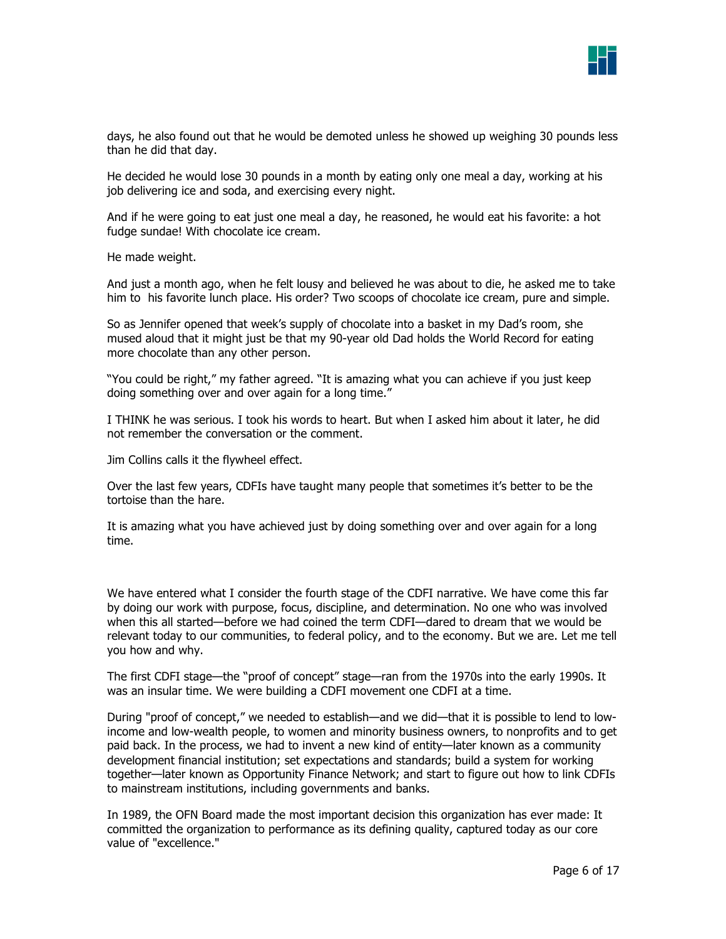

days, he also found out that he would be demoted unless he showed up weighing 30 pounds less than he did that day.

He decided he would lose 30 pounds in a month by eating only one meal a day, working at his job delivering ice and soda, and exercising every night.

And if he were going to eat just one meal a day, he reasoned, he would eat his favorite: a hot fudge sundae! With chocolate ice cream.

He made weight.

And just a month ago, when he felt lousy and believed he was about to die, he asked me to take him to his favorite lunch place. His order? Two scoops of chocolate ice cream, pure and simple.

So as Jennifer opened that week's supply of chocolate into a basket in my Dad's room, she mused aloud that it might just be that my 90-year old Dad holds the World Record for eating more chocolate than any other person.

"You could be right," my father agreed. "It is amazing what you can achieve if you just keep doing something over and over again for a long time."

I THINK he was serious. I took his words to heart. But when I asked him about it later, he did not remember the conversation or the comment.

Jim Collins calls it the flywheel effect.

Over the last few years, CDFIs have taught many people that sometimes it's better to be the tortoise than the hare.

It is amazing what you have achieved just by doing something over and over again for a long time.

We have entered what I consider the fourth stage of the CDFI narrative. We have come this far by doing our work with purpose, focus, discipline, and determination. No one who was involved when this all started—before we had coined the term CDFI—dared to dream that we would be relevant today to our communities, to federal policy, and to the economy. But we are. Let me tell you how and why.

The first CDFI stage—the "proof of concept" stage—ran from the 1970s into the early 1990s. It was an insular time. We were building a CDFI movement one CDFI at a time.

During "proof of concept," we needed to establish—and we did—that it is possible to lend to lowincome and low-wealth people, to women and minority business owners, to nonprofits and to get paid back. In the process, we had to invent a new kind of entity—later known as a community development financial institution; set expectations and standards; build a system for working together—later known as Opportunity Finance Network; and start to figure out how to link CDFIs to mainstream institutions, including governments and banks.

In 1989, the OFN Board made the most important decision this organization has ever made: It committed the organization to performance as its defining quality, captured today as our core value of "excellence."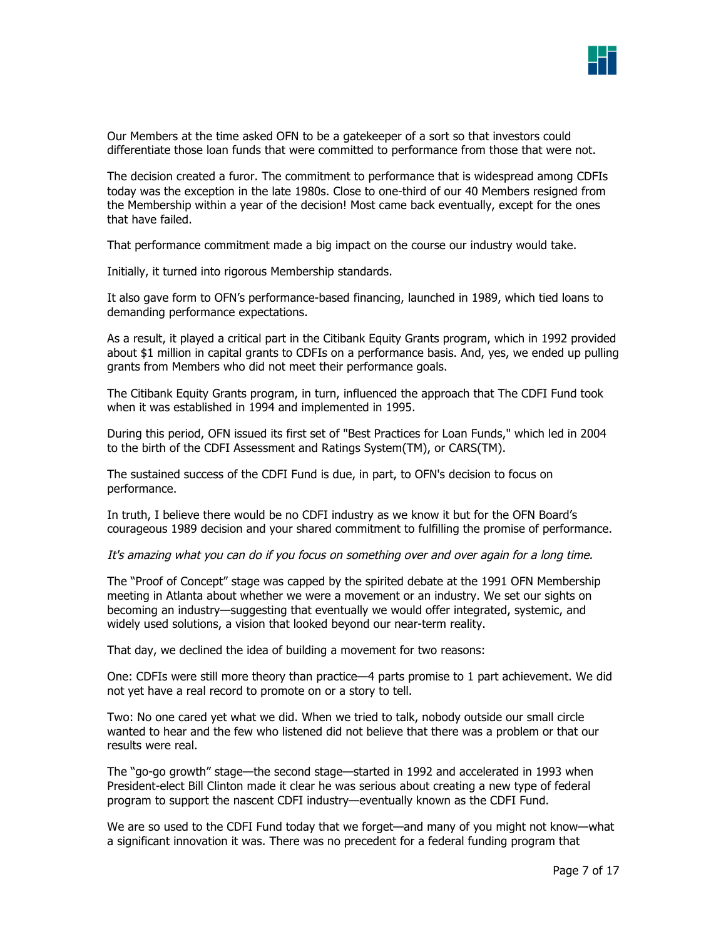

Our Members at the time asked OFN to be a gatekeeper of a sort so that investors could differentiate those loan funds that were committed to performance from those that were not.

The decision created a furor. The commitment to performance that is widespread among CDFIs today was the exception in the late 1980s. Close to one-third of our 40 Members resigned from the Membership within a year of the decision! Most came back eventually, except for the ones that have failed.

That performance commitment made a big impact on the course our industry would take.

Initially, it turned into rigorous Membership standards.

It also gave form to OFN's performance-based financing, launched in 1989, which tied loans to demanding performance expectations.

As a result, it played a critical part in the Citibank Equity Grants program, which in 1992 provided about \$1 million in capital grants to CDFIs on a performance basis. And, yes, we ended up pulling grants from Members who did not meet their performance goals.

The Citibank Equity Grants program, in turn, influenced the approach that The CDFI Fund took when it was established in 1994 and implemented in 1995.

During this period, OFN issued its first set of "Best Practices for Loan Funds," which led in 2004 to the birth of the CDFI Assessment and Ratings System(TM), or CARS(TM).

The sustained success of the CDFI Fund is due, in part, to OFN's decision to focus on performance.

In truth, I believe there would be no CDFI industry as we know it but for the OFN Board's courageous 1989 decision and your shared commitment to fulfilling the promise of performance.

It's amazing what you can do if you focus on something over and over again for a long time.

The "Proof of Concept" stage was capped by the spirited debate at the 1991 OFN Membership meeting in Atlanta about whether we were a movement or an industry. We set our sights on becoming an industry—suggesting that eventually we would offer integrated, systemic, and widely used solutions, a vision that looked beyond our near-term reality.

That day, we declined the idea of building a movement for two reasons:

One: CDFIs were still more theory than practice—4 parts promise to 1 part achievement. We did not yet have a real record to promote on or a story to tell.

Two: No one cared yet what we did. When we tried to talk, nobody outside our small circle wanted to hear and the few who listened did not believe that there was a problem or that our results were real.

The "go-go growth" stage—the second stage—started in 1992 and accelerated in 1993 when President-elect Bill Clinton made it clear he was serious about creating a new type of federal program to support the nascent CDFI industry—eventually known as the CDFI Fund.

We are so used to the CDFI Fund today that we forget—and many of you might not know—what a significant innovation it was. There was no precedent for a federal funding program that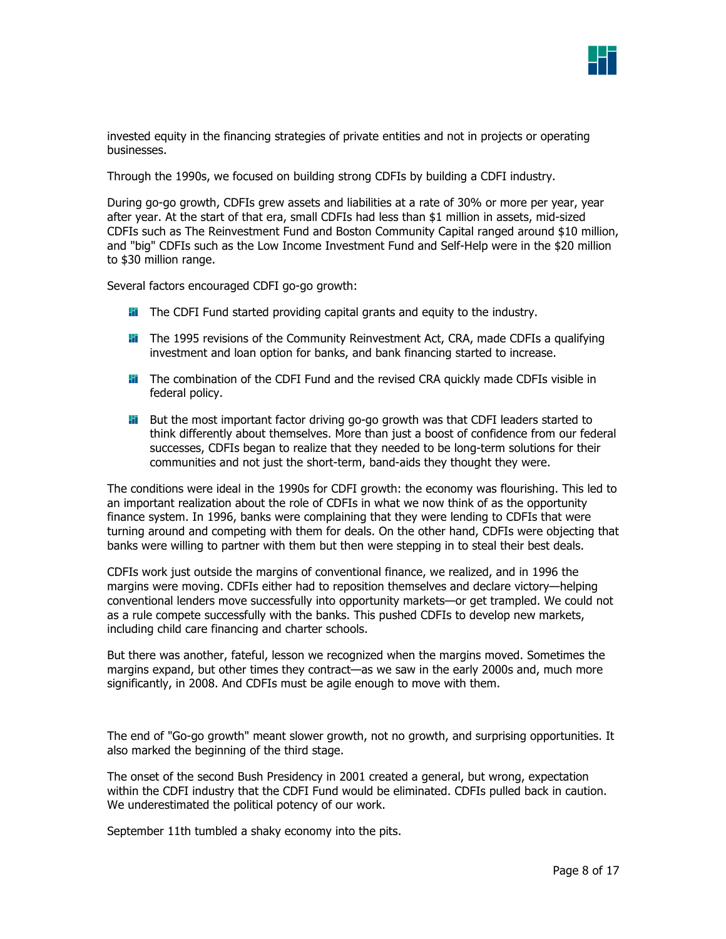

invested equity in the financing strategies of private entities and not in projects or operating businesses.

Through the 1990s, we focused on building strong CDFIs by building a CDFI industry.

During go-go growth, CDFIs grew assets and liabilities at a rate of 30% or more per year, year after year. At the start of that era, small CDFIs had less than \$1 million in assets, mid-sized CDFIs such as The Reinvestment Fund and Boston Community Capital ranged around \$10 million, and "big" CDFIs such as the Low Income Investment Fund and Self-Help were in the \$20 million to \$30 million range.

Several factors encouraged CDFI go-go growth:

- **The CDFI Fund started providing capital grants and equity to the industry.**
- **Fi** The 1995 revisions of the Community Reinvestment Act, CRA, made CDFIs a qualifying investment and loan option for banks, and bank financing started to increase.
- **II** The combination of the CDFI Fund and the revised CRA quickly made CDFIs visible in federal policy.
- **H** But the most important factor driving go-go growth was that CDFI leaders started to think differently about themselves. More than just a boost of confidence from our federal successes, CDFIs began to realize that they needed to be long-term solutions for their communities and not just the short-term, band-aids they thought they were.

The conditions were ideal in the 1990s for CDFI growth: the economy was flourishing. This led to an important realization about the role of CDFIs in what we now think of as the opportunity finance system. In 1996, banks were complaining that they were lending to CDFIs that were turning around and competing with them for deals. On the other hand, CDFIs were objecting that banks were willing to partner with them but then were stepping in to steal their best deals.

CDFIs work just outside the margins of conventional finance, we realized, and in 1996 the margins were moving. CDFIs either had to reposition themselves and declare victory—helping conventional lenders move successfully into opportunity markets—or get trampled. We could not as a rule compete successfully with the banks. This pushed CDFIs to develop new markets, including child care financing and charter schools.

But there was another, fateful, lesson we recognized when the margins moved. Sometimes the margins expand, but other times they contract—as we saw in the early 2000s and, much more significantly, in 2008. And CDFIs must be agile enough to move with them.

The end of "Go-go growth" meant slower growth, not no growth, and surprising opportunities. It also marked the beginning of the third stage.

The onset of the second Bush Presidency in 2001 created a general, but wrong, expectation within the CDFI industry that the CDFI Fund would be eliminated. CDFIs pulled back in caution. We underestimated the political potency of our work.

September 11th tumbled a shaky economy into the pits.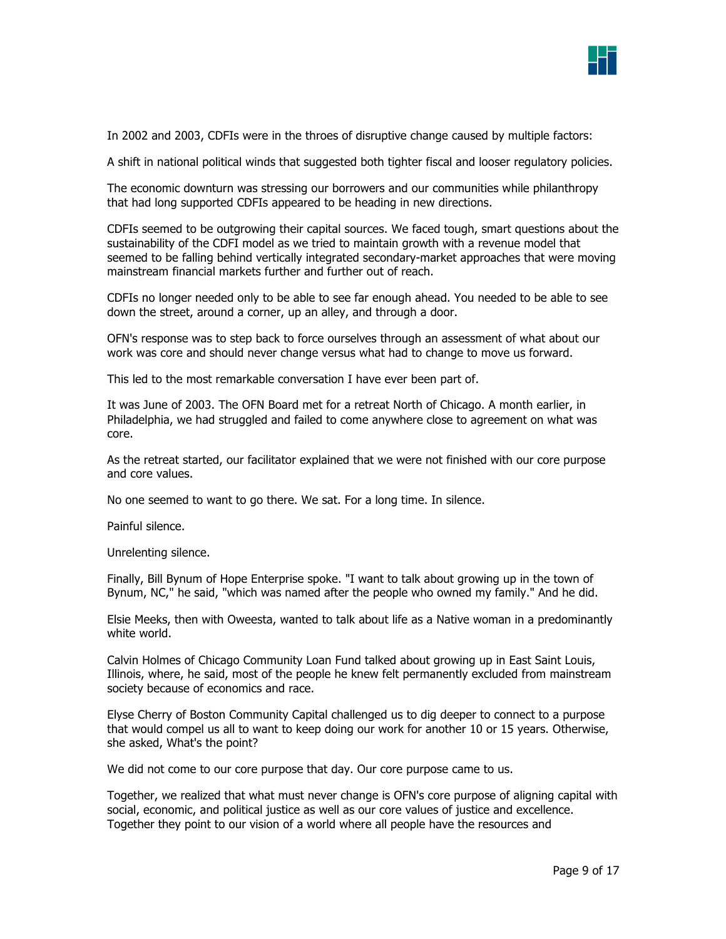|      | __<br>a sa salah sahiji désa di kacamatan Sulawesi Kabupatén Bandung Kabupatén Sulawesi Kabupatén Sulawesi Kabupatén |  |
|------|----------------------------------------------------------------------------------------------------------------------|--|
| ____ |                                                                                                                      |  |
|      |                                                                                                                      |  |

In 2002 and 2003, CDFIs were in the throes of disruptive change caused by multiple factors:

A shift in national political winds that suggested both tighter fiscal and looser regulatory policies.

The economic downturn was stressing our borrowers and our communities while philanthropy that had long supported CDFIs appeared to be heading in new directions.

CDFIs seemed to be outgrowing their capital sources. We faced tough, smart questions about the sustainability of the CDFI model as we tried to maintain growth with a revenue model that seemed to be falling behind vertically integrated secondary-market approaches that were moving mainstream financial markets further and further out of reach.

CDFIs no longer needed only to be able to see far enough ahead. You needed to be able to see down the street, around a corner, up an alley, and through a door.

OFN's response was to step back to force ourselves through an assessment of what about our work was core and should never change versus what had to change to move us forward.

This led to the most remarkable conversation I have ever been part of.

It was June of 2003. The OFN Board met for a retreat North of Chicago. A month earlier, in Philadelphia, we had struggled and failed to come anywhere close to agreement on what was core.

As the retreat started, our facilitator explained that we were not finished with our core purpose and core values.

No one seemed to want to go there. We sat. For a long time. In silence.

Painful silence.

Unrelenting silence.

Finally, Bill Bynum of Hope Enterprise spoke. "I want to talk about growing up in the town of Bynum, NC," he said, "which was named after the people who owned my family." And he did.

Elsie Meeks, then with Oweesta, wanted to talk about life as a Native woman in a predominantly white world.

Calvin Holmes of Chicago Community Loan Fund talked about growing up in East Saint Louis, Illinois, where, he said, most of the people he knew felt permanently excluded from mainstream society because of economics and race.

Elyse Cherry of Boston Community Capital challenged us to dig deeper to connect to a purpose that would compel us all to want to keep doing our work for another 10 or 15 years. Otherwise, she asked, What's the point?

We did not come to our core purpose that day. Our core purpose came to us.

Together, we realized that what must never change is OFN's core purpose of aligning capital with social, economic, and political justice as well as our core values of justice and excellence. Together they point to our vision of a world where all people have the resources and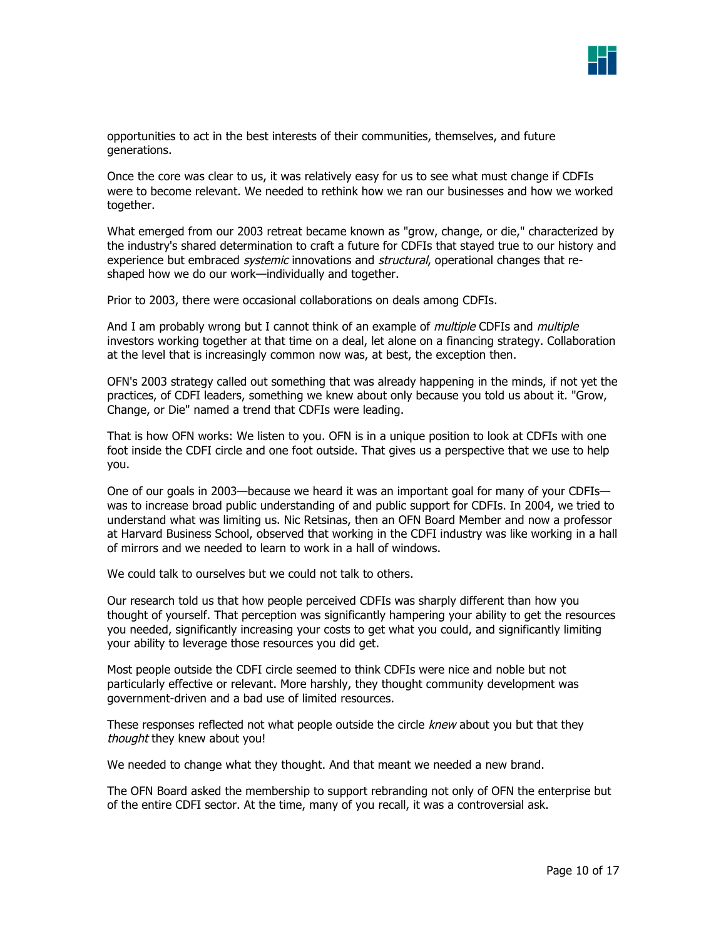

opportunities to act in the best interests of their communities, themselves, and future generations.

Once the core was clear to us, it was relatively easy for us to see what must change if CDFIs were to become relevant. We needed to rethink how we ran our businesses and how we worked together.

What emerged from our 2003 retreat became known as "grow, change, or die," characterized by the industry's shared determination to craft a future for CDFIs that stayed true to our history and experience but embraced *systemic* innovations and *structural*, operational changes that reshaped how we do our work—individually and together.

Prior to 2003, there were occasional collaborations on deals among CDFIs.

And I am probably wrong but I cannot think of an example of *multiple* CDFIs and *multiple* investors working together at that time on a deal, let alone on a financing strategy. Collaboration at the level that is increasingly common now was, at best, the exception then.

OFN's 2003 strategy called out something that was already happening in the minds, if not yet the practices, of CDFI leaders, something we knew about only because you told us about it. "Grow, Change, or Die" named a trend that CDFIs were leading.

That is how OFN works: We listen to you. OFN is in a unique position to look at CDFIs with one foot inside the CDFI circle and one foot outside. That gives us a perspective that we use to help you.

One of our goals in 2003—because we heard it was an important goal for many of your CDFIs was to increase broad public understanding of and public support for CDFIs. In 2004, we tried to understand what was limiting us. Nic Retsinas, then an OFN Board Member and now a professor at Harvard Business School, observed that working in the CDFI industry was like working in a hall of mirrors and we needed to learn to work in a hall of windows.

We could talk to ourselves but we could not talk to others.

Our research told us that how people perceived CDFIs was sharply different than how you thought of yourself. That perception was significantly hampering your ability to get the resources you needed, significantly increasing your costs to get what you could, and significantly limiting your ability to leverage those resources you did get.

Most people outside the CDFI circle seemed to think CDFIs were nice and noble but not particularly effective or relevant. More harshly, they thought community development was government-driven and a bad use of limited resources.

These responses reflected not what people outside the circle knew about you but that they thought they knew about you!

We needed to change what they thought. And that meant we needed a new brand.

The OFN Board asked the membership to support rebranding not only of OFN the enterprise but of the entire CDFI sector. At the time, many of you recall, it was a controversial ask.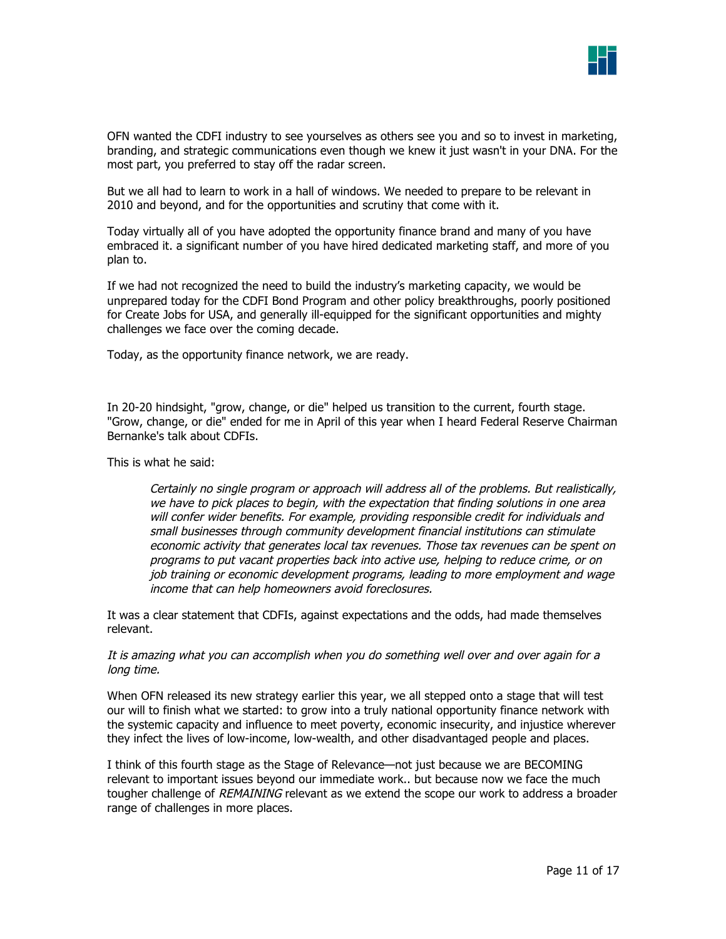

OFN wanted the CDFI industry to see yourselves as others see you and so to invest in marketing, branding, and strategic communications even though we knew it just wasn't in your DNA. For the most part, you preferred to stay off the radar screen.

But we all had to learn to work in a hall of windows. We needed to prepare to be relevant in 2010 and beyond, and for the opportunities and scrutiny that come with it.

Today virtually all of you have adopted the opportunity finance brand and many of you have embraced it. a significant number of you have hired dedicated marketing staff, and more of you plan to.

If we had not recognized the need to build the industry's marketing capacity, we would be unprepared today for the CDFI Bond Program and other policy breakthroughs, poorly positioned for Create Jobs for USA, and generally ill-equipped for the significant opportunities and mighty challenges we face over the coming decade.

Today, as the opportunity finance network, we are ready.

In 20-20 hindsight, "grow, change, or die" helped us transition to the current, fourth stage. "Grow, change, or die" ended for me in April of this year when I heard Federal Reserve Chairman Bernanke's talk about CDFIs.

This is what he said:

Certainly no single program or approach will address all of the problems. But realistically, we have to pick places to begin, with the expectation that finding solutions in one area will confer wider benefits. For example, providing responsible credit for individuals and small businesses through community development financial institutions can stimulate economic activity that generates local tax revenues. Those tax revenues can be spent on programs to put vacant properties back into active use, helping to reduce crime, or on job training or economic development programs, leading to more employment and wage income that can help homeowners avoid foreclosures.

It was a clear statement that CDFIs, against expectations and the odds, had made themselves relevant.

It is amazing what you can accomplish when you do something well over and over again for a long time.

When OFN released its new strategy earlier this year, we all stepped onto a stage that will test our will to finish what we started: to grow into a truly national opportunity finance network with the systemic capacity and influence to meet poverty, economic insecurity, and injustice wherever they infect the lives of low-income, low-wealth, and other disadvantaged people and places.

I think of this fourth stage as the Stage of Relevance—not just because we are BECOMING relevant to important issues beyond our immediate work.. but because now we face the much tougher challenge of REMAINING relevant as we extend the scope our work to address a broader range of challenges in more places.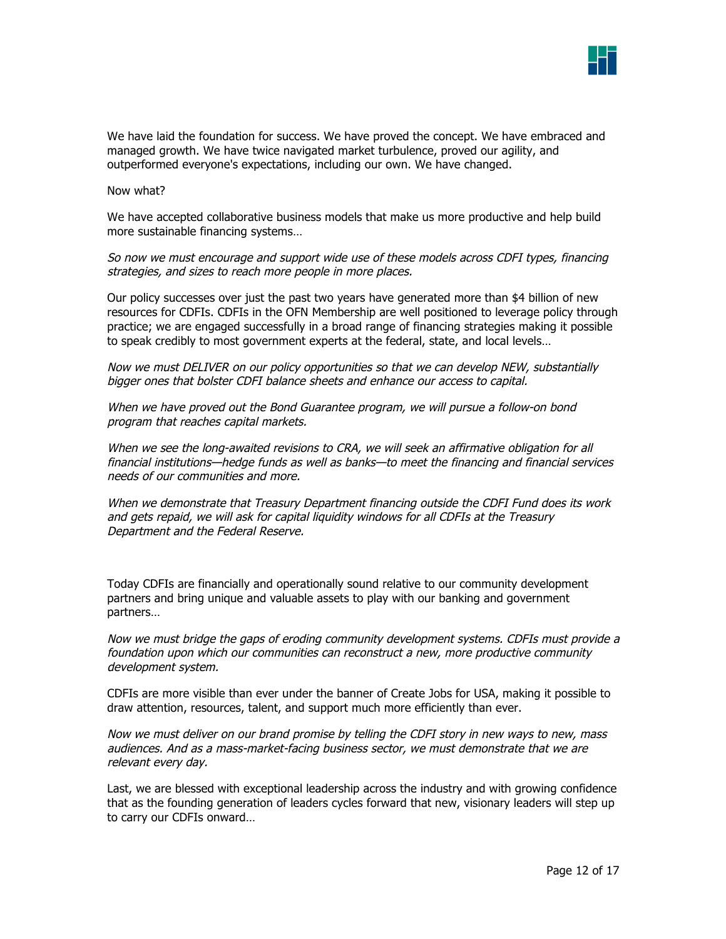

We have laid the foundation for success. We have proved the concept. We have embraced and managed growth. We have twice navigated market turbulence, proved our agility, and outperformed everyone's expectations, including our own. We have changed.

Now what?

We have accepted collaborative business models that make us more productive and help build more sustainable financing systems…

So now we must encourage and support wide use of these models across CDFI types, financing strategies, and sizes to reach more people in more places.

Our policy successes over just the past two years have generated more than \$4 billion of new resources for CDFIs. CDFIs in the OFN Membership are well positioned to leverage policy through practice; we are engaged successfully in a broad range of financing strategies making it possible to speak credibly to most government experts at the federal, state, and local levels…

Now we must DELIVER on our policy opportunities so that we can develop NEW, substantially bigger ones that bolster CDFI balance sheets and enhance our access to capital.

When we have proved out the Bond Guarantee program, we will pursue a follow-on bond program that reaches capital markets.

When we see the long-awaited revisions to CRA, we will seek an affirmative obligation for all financial institutions—hedge funds as well as banks—to meet the financing and financial services needs of our communities and more.

When we demonstrate that Treasury Department financing outside the CDFI Fund does its work and gets repaid, we will ask for capital liquidity windows for all CDFIs at the Treasury Department and the Federal Reserve.

Today CDFIs are financially and operationally sound relative to our community development partners and bring unique and valuable assets to play with our banking and government partners…

Now we must bridge the gaps of eroding community development systems. CDFIs must provide a foundation upon which our communities can reconstruct a new, more productive community development system.

CDFIs are more visible than ever under the banner of Create Jobs for USA, making it possible to draw attention, resources, talent, and support much more efficiently than ever.

Now we must deliver on our brand promise by telling the CDFI story in new ways to new, mass audiences. And as a mass-market-facing business sector, we must demonstrate that we are relevant every day.

Last, we are blessed with exceptional leadership across the industry and with growing confidence that as the founding generation of leaders cycles forward that new, visionary leaders will step up to carry our CDFIs onward…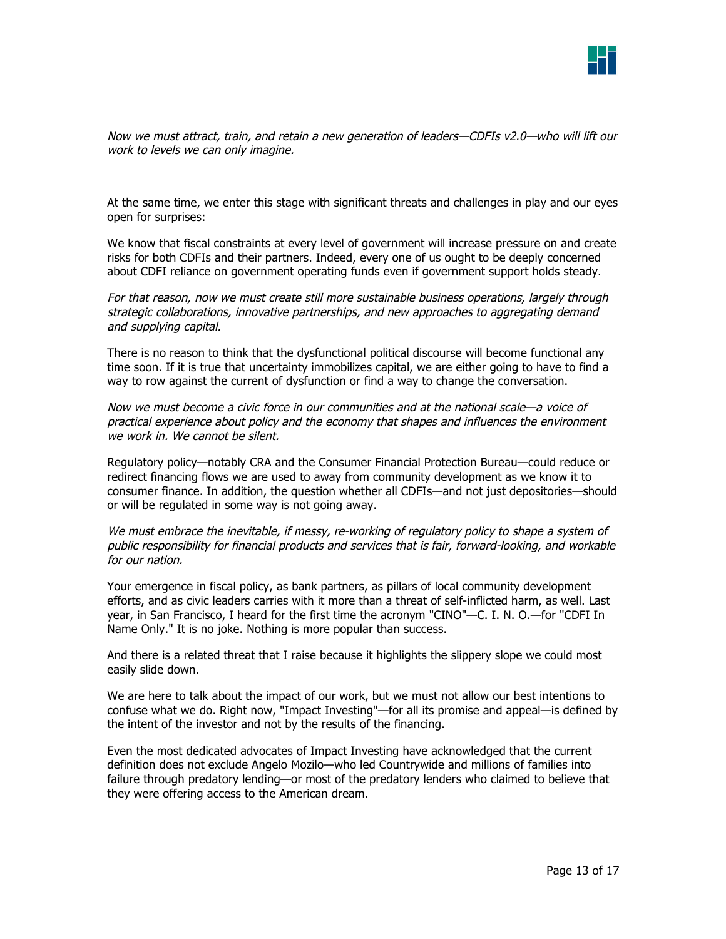

Now we must attract, train, and retain a new generation of leaders—CDFIs v2.0—who will lift our work to levels we can only imagine.

At the same time, we enter this stage with significant threats and challenges in play and our eyes open for surprises:

We know that fiscal constraints at every level of government will increase pressure on and create risks for both CDFIs and their partners. Indeed, every one of us ought to be deeply concerned about CDFI reliance on government operating funds even if government support holds steady.

For that reason, now we must create still more sustainable business operations, largely through strategic collaborations, innovative partnerships, and new approaches to aggregating demand and supplying capital.

There is no reason to think that the dysfunctional political discourse will become functional any time soon. If it is true that uncertainty immobilizes capital, we are either going to have to find a way to row against the current of dysfunction or find a way to change the conversation.

Now we must become a civic force in our communities and at the national scale—a voice of practical experience about policy and the economy that shapes and influences the environment we work in. We cannot be silent.

Regulatory policy—notably CRA and the Consumer Financial Protection Bureau—could reduce or redirect financing flows we are used to away from community development as we know it to consumer finance. In addition, the question whether all CDFIs—and not just depositories—should or will be regulated in some way is not going away.

We must embrace the inevitable, if messy, re-working of regulatory policy to shape a system of public responsibility for financial products and services that is fair, forward-looking, and workable for our nation.

Your emergence in fiscal policy, as bank partners, as pillars of local community development efforts, and as civic leaders carries with it more than a threat of self-inflicted harm, as well. Last year, in San Francisco, I heard for the first time the acronym "CINO"—C. I. N. O.—for "CDFI In Name Only." It is no joke. Nothing is more popular than success.

And there is a related threat that I raise because it highlights the slippery slope we could most easily slide down.

We are here to talk about the impact of our work, but we must not allow our best intentions to confuse what we do. Right now, "Impact Investing"—for all its promise and appeal—is defined by the intent of the investor and not by the results of the financing.

Even the most dedicated advocates of Impact Investing have acknowledged that the current definition does not exclude Angelo Mozilo—who led Countrywide and millions of families into failure through predatory lending—or most of the predatory lenders who claimed to believe that they were offering access to the American dream.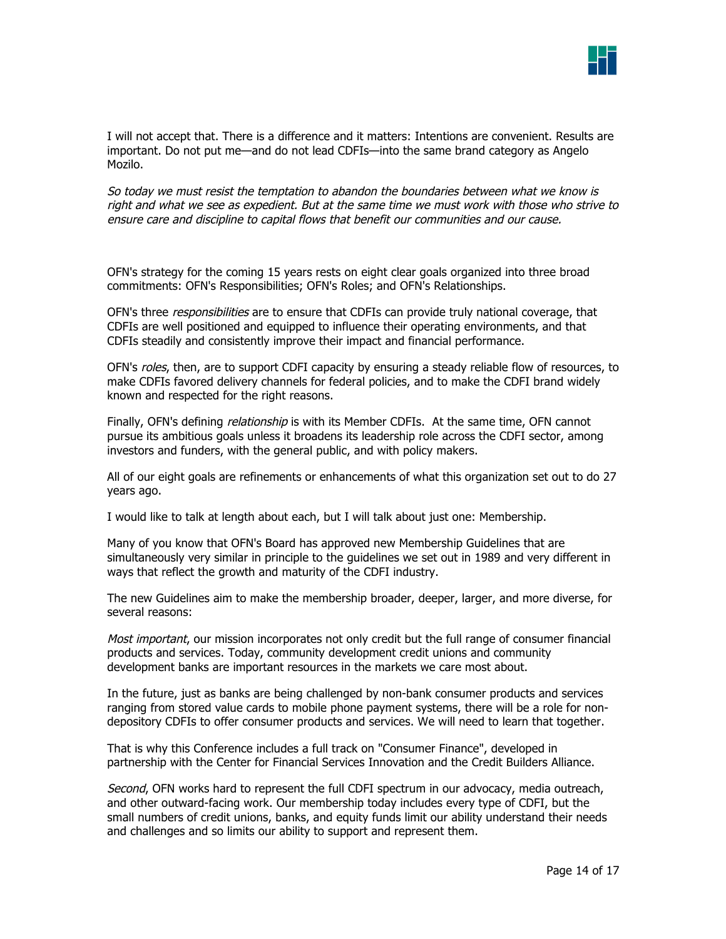

I will not accept that. There is a difference and it matters: Intentions are convenient. Results are important. Do not put me—and do not lead CDFIs—into the same brand category as Angelo Mozilo.

So today we must resist the temptation to abandon the boundaries between what we know is right and what we see as expedient. But at the same time we must work with those who strive to ensure care and discipline to capital flows that benefit our communities and our cause.

OFN's strategy for the coming 15 years rests on eight clear goals organized into three broad commitments: OFN's Responsibilities; OFN's Roles; and OFN's Relationships.

OFN's three responsibilities are to ensure that CDFIs can provide truly national coverage, that CDFIs are well positioned and equipped to influence their operating environments, and that CDFIs steadily and consistently improve their impact and financial performance.

OFN's roles, then, are to support CDFI capacity by ensuring a steady reliable flow of resources, to make CDFIs favored delivery channels for federal policies, and to make the CDFI brand widely known and respected for the right reasons.

Finally, OFN's defining *relationship* is with its Member CDFIs. At the same time, OFN cannot pursue its ambitious goals unless it broadens its leadership role across the CDFI sector, among investors and funders, with the general public, and with policy makers.

All of our eight goals are refinements or enhancements of what this organization set out to do 27 years ago.

I would like to talk at length about each, but I will talk about just one: Membership.

Many of you know that OFN's Board has approved new Membership Guidelines that are simultaneously very similar in principle to the guidelines we set out in 1989 and very different in ways that reflect the growth and maturity of the CDFI industry.

The new Guidelines aim to make the membership broader, deeper, larger, and more diverse, for several reasons:

Most important, our mission incorporates not only credit but the full range of consumer financial products and services. Today, community development credit unions and community development banks are important resources in the markets we care most about.

In the future, just as banks are being challenged by non-bank consumer products and services ranging from stored value cards to mobile phone payment systems, there will be a role for nondepository CDFIs to offer consumer products and services. We will need to learn that together.

That is why this Conference includes a full track on "Consumer Finance", developed in partnership with the Center for Financial Services Innovation and the Credit Builders Alliance.

Second, OFN works hard to represent the full CDFI spectrum in our advocacy, media outreach, and other outward-facing work. Our membership today includes every type of CDFI, but the small numbers of credit unions, banks, and equity funds limit our ability understand their needs and challenges and so limits our ability to support and represent them.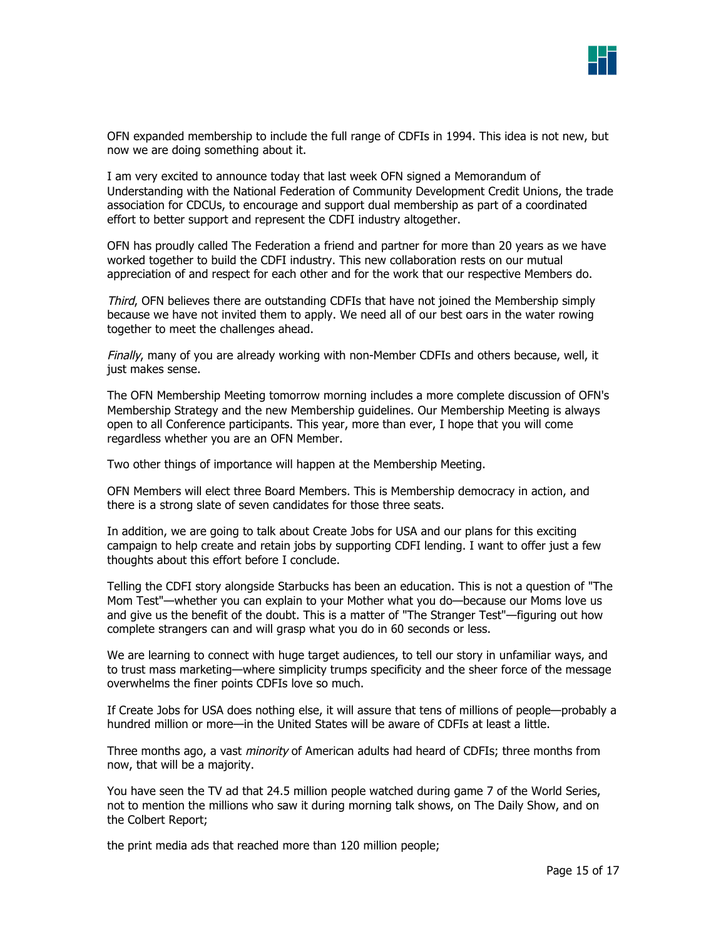

OFN expanded membership to include the full range of CDFIs in 1994. This idea is not new, but now we are doing something about it.

I am very excited to announce today that last week OFN signed a Memorandum of Understanding with the National Federation of Community Development Credit Unions, the trade association for CDCUs, to encourage and support dual membership as part of a coordinated effort to better support and represent the CDFI industry altogether.

OFN has proudly called The Federation a friend and partner for more than 20 years as we have worked together to build the CDFI industry. This new collaboration rests on our mutual appreciation of and respect for each other and for the work that our respective Members do.

Third, OFN believes there are outstanding CDFIs that have not joined the Membership simply because we have not invited them to apply. We need all of our best oars in the water rowing together to meet the challenges ahead.

Finally, many of you are already working with non-Member CDFIs and others because, well, it just makes sense.

The OFN Membership Meeting tomorrow morning includes a more complete discussion of OFN's Membership Strategy and the new Membership guidelines. Our Membership Meeting is always open to all Conference participants. This year, more than ever, I hope that you will come regardless whether you are an OFN Member.

Two other things of importance will happen at the Membership Meeting.

OFN Members will elect three Board Members. This is Membership democracy in action, and there is a strong slate of seven candidates for those three seats.

In addition, we are going to talk about Create Jobs for USA and our plans for this exciting campaign to help create and retain jobs by supporting CDFI lending. I want to offer just a few thoughts about this effort before I conclude.

Telling the CDFI story alongside Starbucks has been an education. This is not a question of "The Mom Test"—whether you can explain to your Mother what you do—because our Moms love us and give us the benefit of the doubt. This is a matter of "The Stranger Test"—figuring out how complete strangers can and will grasp what you do in 60 seconds or less.

We are learning to connect with huge target audiences, to tell our story in unfamiliar ways, and to trust mass marketing—where simplicity trumps specificity and the sheer force of the message overwhelms the finer points CDFIs love so much.

If Create Jobs for USA does nothing else, it will assure that tens of millions of people—probably a hundred million or more—in the United States will be aware of CDFIs at least a little.

Three months ago, a vast *minority* of American adults had heard of CDFIs; three months from now, that will be a majority.

You have seen the TV ad that 24.5 million people watched during game 7 of the World Series, not to mention the millions who saw it during morning talk shows, on The Daily Show, and on the Colbert Report;

the print media ads that reached more than 120 million people;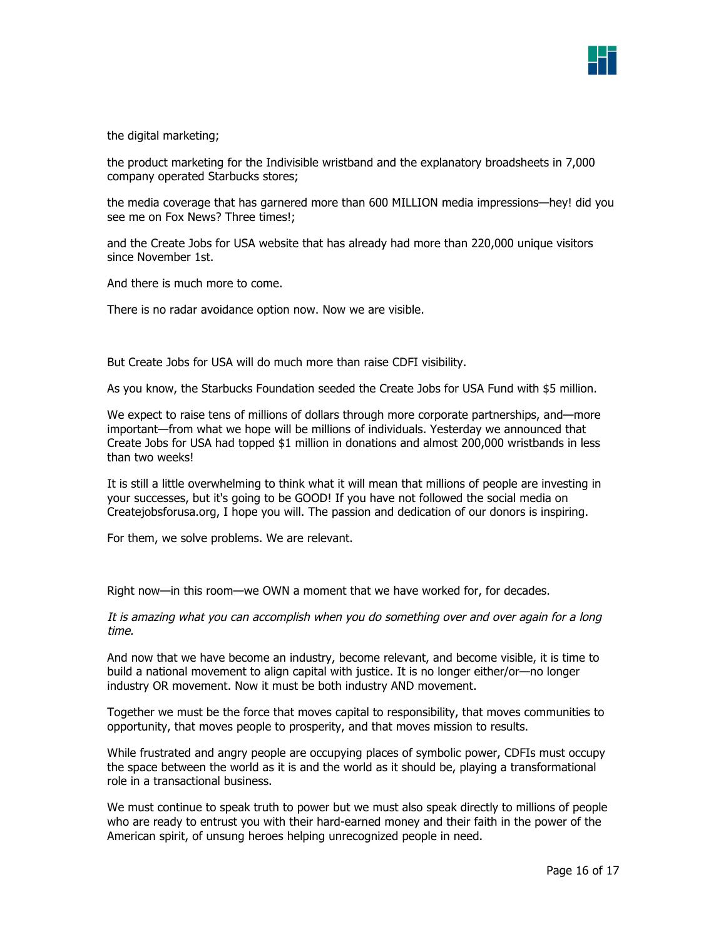

the digital marketing;

the product marketing for the Indivisible wristband and the explanatory broadsheets in 7,000 company operated Starbucks stores;

the media coverage that has garnered more than 600 MILLION media impressions—hey! did you see me on Fox News? Three times!;

and the Create Jobs for USA website that has already had more than 220,000 unique visitors since November 1st.

And there is much more to come.

There is no radar avoidance option now. Now we are visible.

But Create Jobs for USA will do much more than raise CDFI visibility.

As you know, the Starbucks Foundation seeded the Create Jobs for USA Fund with \$5 million.

We expect to raise tens of millions of dollars through more corporate partnerships, and—more important—from what we hope will be millions of individuals. Yesterday we announced that Create Jobs for USA had topped \$1 million in donations and almost 200,000 wristbands in less than two weeks!

It is still a little overwhelming to think what it will mean that millions of people are investing in your successes, but it's going to be GOOD! If you have not followed the social media on Createjobsforusa.org, I hope you will. The passion and dedication of our donors is inspiring.

For them, we solve problems. We are relevant.

Right now—in this room—we OWN a moment that we have worked for, for decades.

It is amazing what you can accomplish when you do something over and over again for a long time.

And now that we have become an industry, become relevant, and become visible, it is time to build a national movement to align capital with justice. It is no longer either/or—no longer industry OR movement. Now it must be both industry AND movement.

Together we must be the force that moves capital to responsibility, that moves communities to opportunity, that moves people to prosperity, and that moves mission to results.

While frustrated and angry people are occupying places of symbolic power, CDFIs must occupy the space between the world as it is and the world as it should be, playing a transformational role in a transactional business.

We must continue to speak truth to power but we must also speak directly to millions of people who are ready to entrust you with their hard-earned money and their faith in the power of the American spirit, of unsung heroes helping unrecognized people in need.